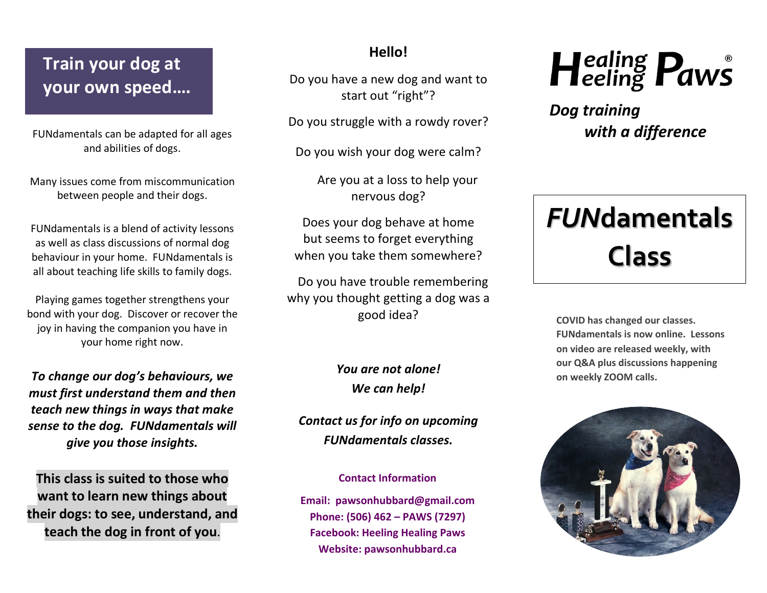### **Train your dog at your own speed….**

FUNdamentals can be adapted for all ages and abilities of dogs.

Many issues come from miscommunication between people and their dogs.

FUNdamentals is a blend of activity lessons as well as class discussions of normal dog behaviour in your home. FUNdamentals is all about teaching life skills to family dogs.

Playing games together strengthens your bond with your dog. Discover or recover the joy in having the companion you have in your home right now.

*To change our dog's behaviours, we must first understand them and then teach new things in ways that make sense to the dog. FUNdamentals will give you those insights.*

**This class is suited to those who want to learn new things about their dogs: to see, understand, and teach the dog in front of you**.

### **Hello!**

Do you have a new dog and want to start out "right"?

Do you struggle with a rowdy rover?

Do you wish your dog were calm?

 Are you at a loss to help your nervous dog?

Does your dog behave at home but seems to forget everything when you take them somewhere?

 Do you have trouble remembering why you thought getting a dog was a good idea?

### *You are not alone! We can help!*

*Contact us for info on upcoming FUNdamentals classes.*

#### **Contact Information**

**Email: pawsonhubbard@gmail.com Phone: (506) 462 – PAWS (7297) Facebook: Heeling Healing Paws Website: pawsonhubbard.ca**



*Dog training with a difference* 

# *FUN***damentals Class**

**COVID has changed our classes. FUNdamentals is now online. Lessons on video are released weekly, with our Q&A plus discussions happening on weekly ZOOM calls.**